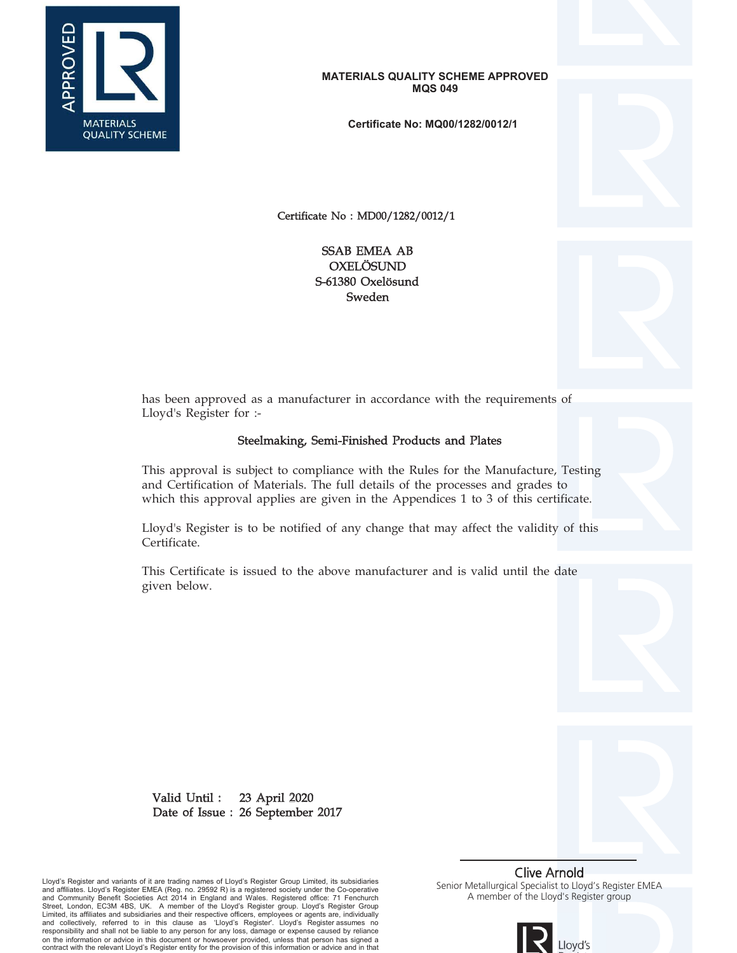

**Certificate No: MQ00/1282/0012/1**

Certificate No : MD00/1282/0012/1

S-61380 Oxelösund Sweden OXELÖSUND SSAB EMEA AB



has been approved as a manufacturer in accordance with the requirements of Lloyd's Register for :-

# Steelmaking, Semi-Finished Products and Plates

This approval is subject to compliance with the Rules for the Manufacture, Testing and Certification of Materials. The full details of the processes and grades to which this approval applies are given in the Appendices 1 to 3 of this certificate.

Lloyd's Register is to be notified of any change that may affect the validity of this Certificate.

This Certificate is issued to the above manufacturer and is valid until the date given below.

23 April 2020 Date of Issue : 26 September 2017 Valid Until :

Lloyd's Register and variants of it are trading names of Lloyd's Register Group Limited, its subsidiaries<br>and affiliates. Lloyd's Register EMEA (Reg. no. 29592 R) is a registered society under the Co-operative<br>and Communit Limited, its affiliates and subsidiaries and their respective officers, employees or agents are, individually and collectively, referred to in this clause as 'Lloyd's Register'. Lloyd's Register assumes no responsibility and shall not be liable to any person for any loss, damage or expense caused by reliance on the information or advice in this document or howsoever provided, unless that person has signed a contract with the relevant Lloyd's Register entity for the provision of this information or advice and in that

Clive Arnold Senior Metallurgical Specialist to Lloyd's Register EMEA A member of the Lloyd's Register group

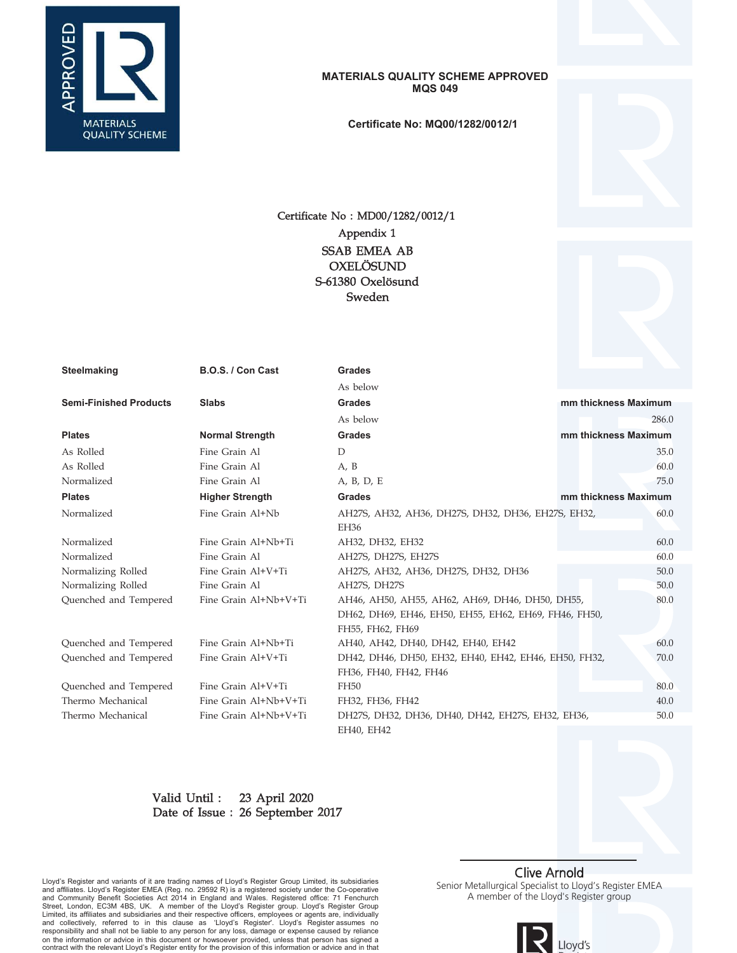

**Certificate No: MQ00/1282/0012/1**

# Certificate No : MD00/1282/0012/1 S-61380 Oxelösund Sweden OXELÖSUND SSAB EMEA AB Appendix 1



| Steelmaking                   | B.O.S. / Con Cast      | <b>Grades</b>                                         |                      |
|-------------------------------|------------------------|-------------------------------------------------------|----------------------|
|                               |                        | As below                                              |                      |
| <b>Semi-Finished Products</b> | <b>Slabs</b>           | <b>Grades</b>                                         | mm thickness Maximum |
|                               |                        | As below                                              | 286.0                |
| <b>Plates</b>                 | <b>Normal Strength</b> | <b>Grades</b>                                         | mm thickness Maximum |
| As Rolled                     | Fine Grain Al          | $\overline{D}$                                        | 35.0                 |
| As Rolled                     | Fine Grain Al          | A, B                                                  | 60.0                 |
| Normalized                    | Fine Grain Al          | A, B, D, E                                            | 75.0                 |
| <b>Plates</b>                 | <b>Higher Strength</b> | <b>Grades</b>                                         | mm thickness Maximum |
| Normalized                    | Fine Grain Al+Nb       | AH27S, AH32, AH36, DH27S, DH32, DH36, EH27S, EH32,    | 60.0                 |
|                               |                        | EH36                                                  |                      |
| Normalized                    | Fine Grain Al+Nb+Ti    | AH32, DH32, EH32                                      | 60.0                 |
| Normalized                    | Fine Grain Al          | AH27S, DH27S, EH27S                                   | 60.0                 |
| Normalizing Rolled            | Fine Grain Al+V+Ti     | AH27S, AH32, AH36, DH27S, DH32, DH36                  | 50.0                 |
| Normalizing Rolled            | Fine Grain Al          | AH27S, DH27S                                          | 50.0                 |
| Quenched and Tempered         | Fine Grain Al+Nb+V+Ti  | AH46, AH50, AH55, AH62, AH69, DH46, DH50, DH55,       | 80.0                 |
|                               |                        | DH62, DH69, EH46, EH50, EH55, EH62, EH69, FH46, FH50, |                      |
|                               |                        | FH55, FH62, FH69                                      |                      |
| Quenched and Tempered         | Fine Grain Al+Nb+Ti    | AH40, AH42, DH40, DH42, EH40, EH42                    | 60.0                 |
| Quenched and Tempered         | Fine Grain Al+V+Ti     | DH42, DH46, DH50, EH32, EH40, EH42, EH46, EH50, FH32, | 70.0                 |
|                               |                        | FH36, FH40, FH42, FH46                                |                      |
| Quenched and Tempered         | Fine Grain Al+V+Ti     | FH50                                                  | 80.0                 |
| Thermo Mechanical             | Fine Grain Al+Nb+V+Ti  | FH32, FH36, FH42                                      | 40.0                 |
| Thermo Mechanical             | Fine Grain Al+Nb+V+Ti  | DH27S, DH32, DH36, DH40, DH42, EH27S, EH32, EH36,     | 50.0                 |
|                               |                        | EH40, EH42                                            |                      |

#### 23 April 2020 Date of Issue : 26 September 2017 Valid Until :

Lloyd's Register and variants of it are trading names of Lloyd's Register Group Limited, its subsidiaries<br>and affiliates. Lloyd's Register EMEA (Reg. no. 29592 R) is a registered society under the Co-operative<br>and Communit and collectively, referred to in this clause as 'Lloyd's Register'. Lloyd's Register assumes no<br>responsibility and shall not be liable to any person for any loss, damage or expense caused by reliance<br>on the information or

# Clive Arnold

Senior Metallurgical Specialist to Lloyd's Register EMEA A member of the Lloyd's Register group

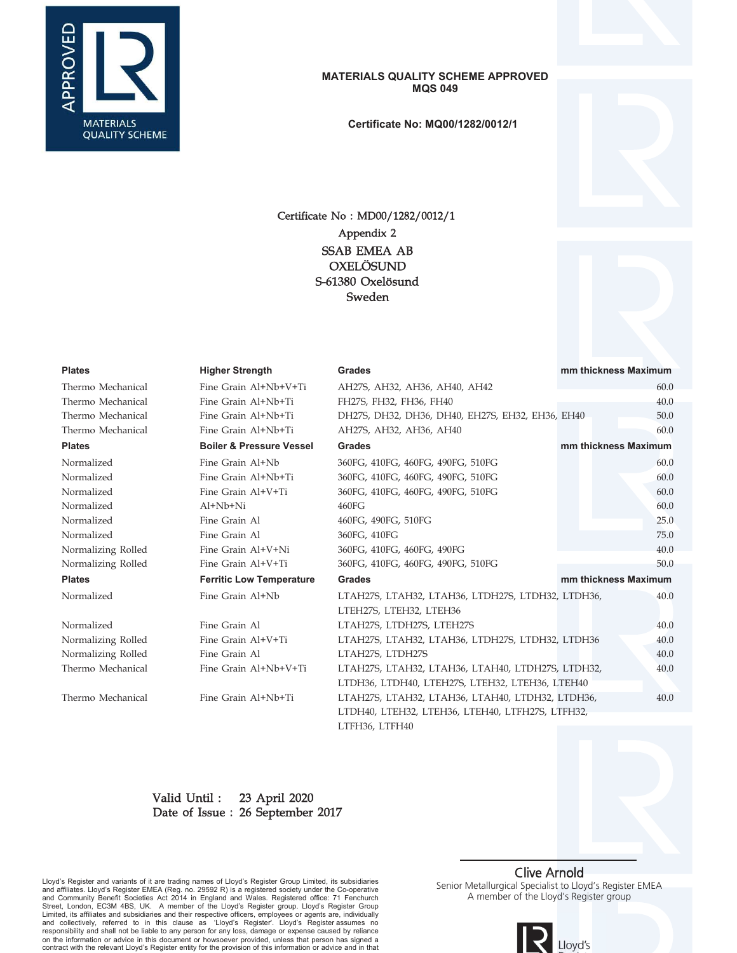

**Certificate No: MQ00/1282/0012/1**



# Certificate No : MD00/1282/0012/1 S-61380 Oxelösund Sweden OXELÖSUND SSAB EMEA AB Appendix 2

### **Plates Higher Strength Grades mm thickness Maximum**

Thermo Mechanical Fine Grain Al+Nb+V+Ti AH27S, AH32, AH36, AH40, AH42 60.0 Thermo Mechanical Fine Grain Al+Nb+Ti FH27S, FH32, FH36, FH40 40.0 Thermo Mechanical Fine Grain Al+Nb+Ti DH27S, DH32, DH36, DH40, EH27S, EH32, EH36, EH40 50.0 Thermo Mechanical Fine Grain Al+Nb+Ti AH27S, AH32, AH36, AH40 60.0 **Plates Boiler & Pressure Vessel Grades mm thickness Maximum** Normalized Fine Grain Al+Nb 360FG, 410FG, 460FG, 490FG, 510FG 60.0 Normalized Fine Grain Al+Nb+Ti 360FG, 410FG, 460FG, 490FG, 510FG 60.0 Normalized Fine Grain Al+V+Ti 360FG, 410FG, 460FG, 490FG, 510FG 60.0 Normalized Al+Nb+Ni 460FG 60.0 Normalized Fine Grain Al 460FG, 490FG, 510FG 25.0 Normalized Fine Grain Al 360FG, 410FG 75.0 Normalizing Rolled Fine Grain Al+V+Ni 360FG, 410FG, 460FG, 490FG 40.0 Normalizing Rolled Fine Grain Al+V+Ti 360FG, 410FG, 460FG, 490FG, 510FG 50.0 **Plates Ferritic Low Temperature Grades mm thickness Maximum** Normalized Fine Grain Al+Nb LTAH27S, LTAH32, LTAH36, LTDH27S, LTDH32, LTDH36, 40.0 LTEH27S, LTEH32, LTEH36 Normalized Fine Grain Al LTAH27S, LTDH27S, LTEH27S 40.0 Normalizing Rolled Fine Grain Al+V+Ti LTAH27S, LTAH32, LTAH36, LTDH27S, LTDH32, LTDH36 40.0 Normalizing Rolled Fine Grain Al LTAH27S, LTDH27S 40.0 Thermo Mechanical Fine Grain Al+Nb+V+Ti LTAH27S, LTAH32, LTAH36, LTAH40, LTDH27S, LTDH32, 40.0

LTDH36, LTDH40, LTEH27S, LTEH32, LTEH36, LTEH40 Thermo Mechanical Fine Grain Al+Nb+Ti LTAH27S, LTAH32, LTAH36, LTAH40, LTDH32, LTDH36, 40.0 LTDH40, LTEH32, LTEH36, LTEH40, LTFH27S, LTFH32, LTFH36, LTFH40

#### 23 April 2020 Date of Issue : 26 September 2017 Valid Until :

Lloyd's Register and variants of it are trading names of Lloyd's Register Group Limited, its subsidiaries and affiliates. Lloyd's Register EMEA (Reg. no. 29592 R) is a registered society under the Co-operative and Community Benefit Societies Act 2014 in England and Wales. Registered office: 71 Fenchurch<br>Street, London, EC3M 4BS, UK. A member of the Lloyd's Register group. Lloyd's Register Group Limited, its affiliates and subsidiaries and their respective officers, employees or agents are, individually and collectively, referred to in this clause as 'Lloyd's Register'. Lloyd's Register assumes no responsibility and shall not be liable to any person for any loss, damage or expense caused by reliance on the information or advice in this document or howsoever provided, unless that person has signed a contract with the relevant Lloyd's Register entity for the provision of this information or advice and in that

## Clive Arnold

Senior Metallurgical Specialist to Lloyd's Register EMEA A member of the Lloyd's Register group